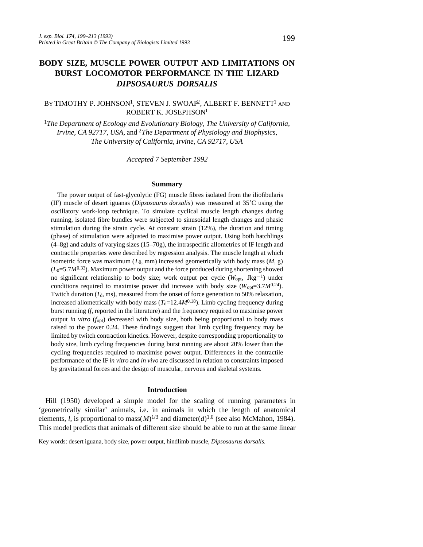# **BODY SIZE, MUSCLE POWER OUTPUT AND LIMITATIONS ON BURST LOCOMOTOR PERFORMANCE IN THE LIZARD** *DIPSOSAURUS DORSALIS*

## BY TIMOTHY P. JOHNSON<sup>1</sup>, STEVEN J. SWOAP<sup>2</sup>, ALBERT F. BENNETT<sup>1</sup> and ROBERT K. JOSEPHSON<sup>1</sup>

<sup>1</sup>*The Department of Ecology and Evolutionary Biology, The University of California, Irvine, CA 92717, USA, and <sup>2</sup>The Department of Physiology and Biophysics, The University of California, Irvine, CA 92717, USA*

*Accepted 7 September 1992*

#### **Summary**

The power output of fast-glycolytic (FG) muscle fibres isolated from the iliofibularis (IF) muscle of desert iguanas (*Dipsosaurus dorsalis*) was measured at 35˚C using the oscillatory work-loop technique. To simulate cyclical muscle length changes during running, isolated fibre bundles were subjected to sinusoidal length changes and phasic stimulation during the strain cycle. At constant strain (12%), the duration and timing (phase) of stimulation were adjusted to maximise power output. Using both hatchlings  $(4–8g)$  and adults of varying sizes  $(15–70g)$ , the intraspecific allometries of IF length and contractile properties were described by regression analysis. The muscle length at which isometric force was maximum  $(L_0, \text{mm})$  increased geometrically with body mass  $(M, g)$  $(L_0=5.7M^{0.33})$ . Maximum power output and the force produced during shortening showed no significant relationship to body size; work output per cycle ( $W_{\text{opt}}$ , Jkg<sup>-1</sup>) under conditions required to maximise power did increase with body size  $(W_{opt}=3.7M^{0.24})$ . Twitch duration  $(T_d, \text{ms})$ , measured from the onset of force generation to 50% relaxation, increased allometrically with body mass  $(T<sub>d</sub>=12.4M<sup>0.18</sup>)$ . Limb cycling frequency during burst running (*f*, reported in the literature) and the frequency required to maximise power output *in vitro* (*f*opt) decreased with body size, both being proportional to body mass raised to the power 0.24. These findings suggest that limb cycling frequency may be limited by twitch contraction kinetics. However, despite corresponding proportionality to body size, limb cycling frequencies during burst running are about 20% lower than the cycling frequencies required to maximise power output. Differences in the contractile performance of the IF *in vitro* and *in vivo* are discussed in relation to constraints imposed by gravitational forces and the design of muscular, nervous and skeletal systems.

#### **Introduction**

Hill (1950) developed a simple model for the scaling of running parameters in 'geometrically similar' animals, i.e. in animals in which the length of anatomical elements, *l*, is proportional to mass $(M)^{1/3}$  and diameter $(d)^{1.0}$  (see also McMahon, 1984). This model predicts that animals of different size should be able to run at the same linear

Key words: desert iguana, body size, power output, hindlimb muscle, *Dipsosaurus dorsalis*.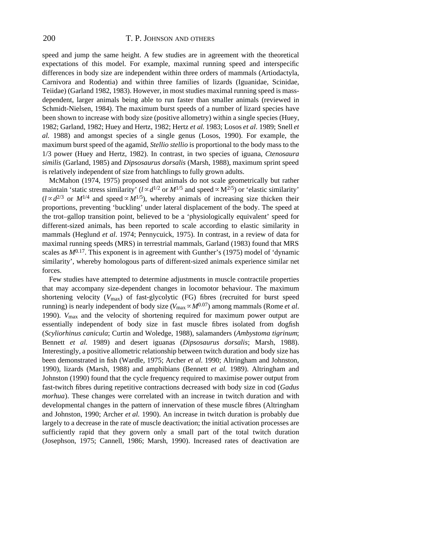speed and jump the same height. A few studies are in agreement with the theoretical expectations of this model. For example, maximal running speed and interspecific differences in body size are independent within three orders of mammals (Artiodactyla, Carnivora and Rodentia) and within three families of lizards (Iguanidae, Scinidae, Teiidae) (Garland 1982, 1983). However, in most studies maximal running speed is massdependent, larger animals being able to run faster than smaller animals (reviewed in Schmidt-Nielsen, 1984). The maximum burst speeds of a number of lizard species have been shown to increase with body size (positive allometry) within a single species (Huey, 1982; Garland, 1982; Huey and Hertz, 1982; Hertz *et al.* 1983; Losos *et al*. 1989; Snell *et al.* 1988) and amongst species of a single genus (Losos, 1990). For example, the maximum burst speed of the agamid, *Stellio stellio* is proportional to the body mass to the 1/3 power (Huey and Hertz, 1982). In contrast, in two species of iguana, *Ctenosaura similis* (Garland, 1985) and *Dipsosaurus dorsalis* (Marsh, 1988), maximum sprint speed is relatively independent of size from hatchlings to fully grown adults.

McMahon (1974, 1975) proposed that animals do not scale geometrically but rather maintain 'static stress similarity' ( $l \propto d^{1/2}$  or  $M^{1/5}$  and speed  $\propto M^{2/5}$ ) or 'elastic similarity'  $(l \propto d^{2/3}$  or  $M^{1/4}$  and speed  $\propto M^{1/5}$ ), whereby animals of increasing size thicken their proportions, preventing 'buckling' under lateral displacement of the body. The speed at the trot–gallop transition point, believed to be a 'physiologically equivalent' speed for different-sized animals, has been reported to scale according to elastic similarity in mammals (Heglund *et al*. 1974; Pennycuick, 1975). In contrast, in a review of data for maximal running speeds (MRS) in terrestrial mammals, Garland (1983) found that MRS scales as  $M^{0.17}$ . This exponent is in agreement with Gunther's (1975) model of 'dynamic similarity', whereby homologous parts of different-sized animals experience similar net forces.

Few studies have attempted to determine adjustments in muscle contractile properties that may accompany size-dependent changes in locomotor behaviour. The maximum shortening velocity (*V*max) of fast-glycolytic (FG) fibres (recruited for burst speed running) is nearly independent of body size ( $V_{\text{max}} \propto M^{0.07}$ ) among mammals (Rome *et al.* 1990). *V*max and the velocity of shortening required for maximum power output are essentially independent of body size in fast muscle fibres isolated from dogfish (*Scyliorhinus canicula*; Curtin and Woledge, 1988), salamanders (*Ambystoma tigrinum*; Bennett *et al.* 1989) and desert iguanas (*Dipsosaurus dorsalis*; Marsh, 1988). Interestingly, a positive allometric relationship between twitch duration and body size has been demonstrated in fish (Wardle, 1975; Archer *et al*. 1990; Altringham and Johnston, 1990), lizards (Marsh, 1988) and amphibians (Bennett *et al.* 1989). Altringham and Johnston (1990) found that the cycle frequency required to maximise power output from fast-twitch fibres during repetitive contractions decreased with body size in cod (*Gadus morhua*). These changes were correlated with an increase in twitch duration and with developmental changes in the pattern of innervation of these muscle fibres (Altringham and Johnston, 1990; Archer *et al.* 1990). An increase in twitch duration is probably due largely to a decrease in the rate of muscle deactivation; the initial activation processes are sufficiently rapid that they govern only a small part of the total twitch duration (Josephson, 1975; Cannell, 1986; Marsh, 1990). Increased rates of deactivation are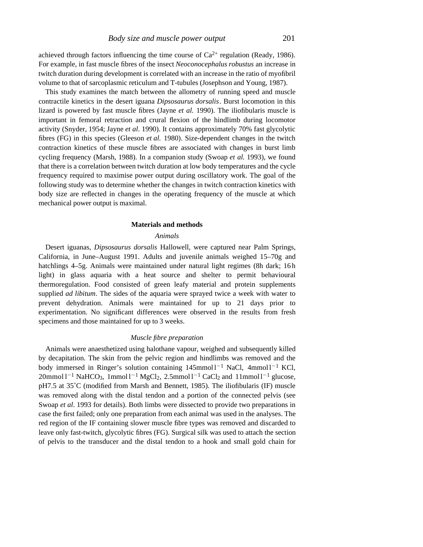achieved through factors influencing the time course of  $Ca^{2+}$  regulation (Ready, 1986). For example, in fast muscle fibres of the insect *Neoconocephalus robustus* an increase in twitch duration during development is correlated with an increase in the ratio of myofibril volume to that of sarcoplasmic reticulum and T-tubules (Josephson and Young, 1987).

This study examines the match between the allometry of running speed and muscle contractile kinetics in the desert iguana *Dipsosaurus dorsalis*. Burst locomotion in this lizard is powered by fast muscle fibres (Jayne *et al.* 1990). The iliofibularis muscle is important in femoral retraction and crural flexion of the hindlimb during locomotor activity (Snyder, 1954; Jayne *et al*. 1990). It contains approximately 70% fast glycolytic fibres (FG) in this species (Gleeson *et al.* 1980). Size-dependent changes in the twitch contraction kinetics of these muscle fibres are associated with changes in burst limb cycling frequency (Marsh, 1988). In a companion study (Swoap *et al*. 1993), we found that there is a correlation between twitch duration at low body temperatures and the cycle frequency required to maximise power output during oscillatory work. The goal of the following study was to determine whether the changes in twitch contraction kinetics with body size are reflected in changes in the operating frequency of the muscle at which mechanical power output is maximal.

#### **Materials and methods**

## *Animals*

Desert iguanas, *Dipsosaurus dorsalis* Hallowell, were captured near Palm Springs, California, in June–August 1991. Adults and juvenile animals weighed 15–70g and hatchlings 4–5g. Animals were maintained under natural light regimes (8h dark; 16h light) in glass aquaria with a heat source and shelter to permit behavioural thermoregulation. Food consisted of green leafy material and protein supplements supplied *ad libitum*. The sides of the aquaria were sprayed twice a week with water to prevent dehydration. Animals were maintained for up to 21 days prior to experimentation. No significant differences were observed in the results from fresh specimens and those maintained for up to 3 weeks.

### *Muscle fibre preparation*

Animals were anaesthetized using halothane vapour, weighed and subsequently killed by decapitation. The skin from the pelvic region and hindlimbs was removed and the body immersed in Ringer's solution containing  $145$ mmol $1^{-1}$  NaCl,  $4$ mmol $1^{-1}$  KCl,  $20$ mmol l<sup>-1</sup> NaHCO<sub>3</sub>, 1mmol l<sup>-1</sup> MgCl<sub>2</sub>, 2.5mmol l<sup>-1</sup> CaCl<sub>2</sub> and 11mmol l<sup>-1</sup> glucose, pH7.5 at 35˚C (modified from Marsh and Bennett, 1985). The iliofibularis (IF) muscle was removed along with the distal tendon and a portion of the connected pelvis (see Swoap *et al*. 1993 for details). Both limbs were dissected to provide two preparations in case the first failed; only one preparation from each animal was used in the analyses. The red region of the IF containing slower muscle fibre types was removed and discarded to leave only fast-twitch, glycolytic fibres (FG). Surgical silk was used to attach the section of pelvis to the transducer and the distal tendon to a hook and small gold chain for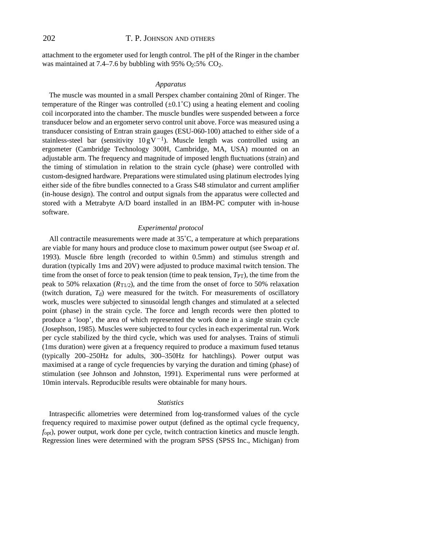attachment to the ergometer used for length control. The pH of the Ringer in the chamber was maintained at 7.4–7.6 by bubbling with 95%  $O<sub>2</sub>$ :5%  $CO<sub>2</sub>$ .

#### *Apparatus*

The muscle was mounted in a small Perspex chamber containing 20ml of Ringer. The temperature of the Ringer was controlled  $(\pm 0.1^{\circ}C)$  using a heating element and cooling coil incorporated into the chamber. The muscle bundles were suspended between a force transducer below and an ergometer servo control unit above. Force was measured using a transducer consisting of Entran strain gauges (ESU-060-100) attached to either side of a stainless-steel bar (sensitivity  $10 gV^{-1}$ ). Muscle length was controlled using an ergometer (Cambridge Technology 300H, Cambridge, MA, USA) mounted on an adjustable arm. The frequency and magnitude of imposed length fluctuations (strain) and the timing of stimulation in relation to the strain cycle (phase) were controlled with custom-designed hardware. Preparations were stimulated using platinum electrodes lying either side of the fibre bundles connected to a Grass S48 stimulator and current amplifier (in-house design). The control and output signals from the apparatus were collected and stored with a Metrabyte A/D board installed in an IBM-PC computer with in-house software.

### *Experimental protocol*

All contractile measurements were made at 35˚C, a temperature at which preparations are viable for many hours and produce close to maximum power output (see Swoap *et al*. 1993). Muscle fibre length (recorded to within 0.5mm) and stimulus strength and duration (typically 1ms and 20V) were adjusted to produce maximal twitch tension. The time from the onset of force to peak tension (time to peak tension,  $T_{PT}$ ), the time from the peak to 50% relaxation  $(R_{T1/2})$ , and the time from the onset of force to 50% relaxation (twitch duration,  $T_d$ ) were measured for the twitch. For measurements of oscillatory work, muscles were subjected to sinusoidal length changes and stimulated at a selected point (phase) in the strain cycle. The force and length records were then plotted to produce a 'loop', the area of which represented the work done in a single strain cycle (Josephson, 1985). Muscles were subjected to four cycles in each experimental run. Work per cycle stabilized by the third cycle, which was used for analyses. Trains of stimuli (1ms duration) were given at a frequency required to produce a maximum fused tetanus (typically 200–250Hz for adults, 300–350Hz for hatchlings). Power output was maximised at a range of cycle frequencies by varying the duration and timing (phase) of stimulation (see Johnson and Johnston, 1991). Experimental runs were performed at 10min intervals. Reproducible results were obtainable for many hours.

#### *Statistics*

Intraspecific allometries were determined from log-transformed values of the cycle frequency required to maximise power output (defined as the optimal cycle frequency, *f*opt), power output, work done per cycle, twitch contraction kinetics and muscle length. Regression lines were determined with the program SPSS (SPSS Inc., Michigan) from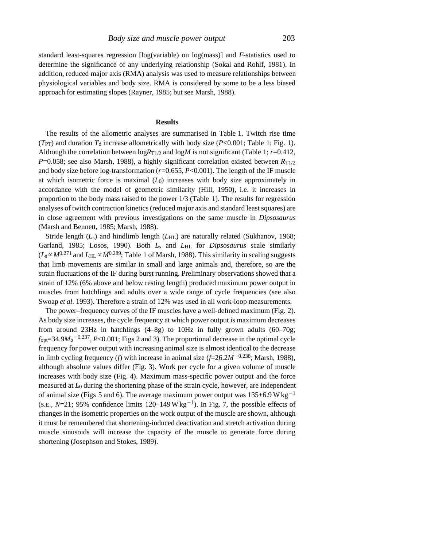standard least-squares regression [log(variable) on log(mass)] and *F*-statistics used to determine the significance of any underlying relationship (Sokal and Rohlf, 1981). In addition, reduced major axis (RMA) analysis was used to measure relationships between physiological variables and body size. RMA is considered by some to be a less biased approach for estimating slopes (Rayner, 1985; but see Marsh, 1988).

## **Results**

The results of the allometric analyses are summarised in Table 1. Twitch rise time  $(T_{PT})$  and duration  $T_d$  increase allometrically with body size ( $P<0.001$ ; Table 1; Fig. 1). Although the correlation between log*R*T1/2 and log*M* is not significant (Table 1; *r*=0.412, *P*=0.058; see also Marsh, 1988), a highly significant correlation existed between *R*T1/2 and body size before log-transformation (*r*=0.655, *P*<0.001). The length of the IF muscle at which isometric force is maximal (*L*0) increases with body size approximately in accordance with the model of geometric similarity (Hill, 1950), i.e. it increases in proportion to the body mass raised to the power 1/3 (Table 1). The results for regression analyses of twitch contraction kinetics (reduced major axis and standard least squares) are in close agreement with previous investigations on the same muscle in *Dipsosaurus* (Marsh and Bennett, 1985; Marsh, 1988).

Stride length  $(L<sub>s</sub>)$  and hindlimb length  $(L<sub>HL</sub>)$  are naturally related (Sukhanov, 1968; Garland, 1985; Losos, 1990). Both *L*s and *L*HL for *Dipsosaurus* scale similarly  $(L_s \propto M^{0.271}$  and  $L_{\text{HL}} \propto M^{0.289}$ ; Table 1 of Marsh, 1988). This similarity in scaling suggests that limb movements are similar in small and large animals and, therefore, so are the strain fluctuations of the IF during burst running. Preliminary observations showed that a strain of 12% (6% above and below resting length) produced maximum power output in muscles from hatchlings and adults over a wide range of cycle frequencies (see also Swoap *et al*. 1993). Therefore a strain of 12% was used in all work-loop measurements.

The power–frequency curves of the IF muscles have a well-defined maximum (Fig. 2). As body size increases, the cycle frequency at which power output is maximum decreases from around 23Hz in hatchlings (4–8g) to 10Hz in fully grown adults (60–70g;  $f_{\text{opt}}$ =34.9 $M_b$ <sup>-0.237</sup>, *P*<0.001; Figs 2 and 3). The proportional decrease in the optimal cycle frequency for power output with increasing animal size is almost identical to the decrease in limb cycling frequency (*f*) with increase in animal size ( $f=26.2M^{-0.238}$ ; Marsh, 1988), although absolute values differ (Fig. 3). Work per cycle for a given volume of muscle increases with body size (Fig. 4). Maximum mass-specific power output and the force measured at *L*0 during the shortening phase of the strain cycle, however, are independent of animal size (Figs 5 and 6). The average maximum power output was  $135\pm6.9$  W kg<sup>-1</sup> (S.E.,  $N=21$ ; 95% confidence limits 120–149  $Wkg^{-1}$ ). In Fig. 7, the possible effects of changes in the isometric properties on the work output of the muscle are shown, although it must be remembered that shortening-induced deactivation and stretch activation during muscle sinusoids will increase the capacity of the muscle to generate force during shortening (Josephson and Stokes, 1989).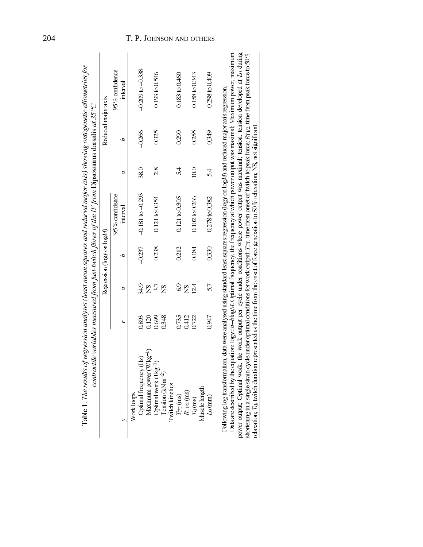|                                             |               | Regression ( $log$ ) on $logM$ ) |                           |      | Reduced major axis |                           |
|---------------------------------------------|---------------|----------------------------------|---------------------------|------|--------------------|---------------------------|
|                                             |               |                                  | $95\%$ confidence         |      |                    | $95\%$ confidence         |
| ĥ,                                          | a             | q                                | interval                  | a    | q                  | interval                  |
| Work loops                                  |               |                                  |                           |      |                    |                           |
| 0893<br>Optimal frequency (Hz)              | 349           | $-0.237$                         | $-0.181$ to $-0.293$      | 380  | $-0.266$           | $-0.209$ to $-0.338$      |
| 0.120<br>Aaximum power (Wkg <sup>-1</sup> ) | Š             |                                  |                           |      |                    |                           |
| 0699<br>Optimal work (J kg <sup>-1</sup> )  | 37            | 0.238                            | $0.121 \text{ to } 0.354$ | 28   | 0325               | 0.193 to 0.546            |
| 0.348<br>Tension (kNm <sup>-2</sup> )       | $\frac{8}{2}$ |                                  |                           |      |                    |                           |
| Twitch kinetics                             |               |                                  |                           |      |                    |                           |
| 0.735<br>$T_{\rm PT}$ (ms)                  | $\frac{6}{9}$ | 0.212                            | $0.121$ to $0.305$        | 54   | 0.290              | $0.183 \text{ to } 0.460$ |
| 0412<br>$R_{11/2}$ (ms)                     | Š             |                                  |                           |      |                    |                           |
| 0.722<br>$Td$ (ms)                          | 12.4          | 0.184                            | 0.102 to 0.266            | 10.0 | 0255               | $0.158 \text{ to } 0.343$ |
| Muscle length                               |               |                                  |                           |      |                    |                           |
| 0947<br>$L_0$ (mm)                          | 57            | 0330                             | 0.278 to 0.382            | 54   | 0349               | $0.298$ to $0.409$        |

Table 1. The results of regression analyses (least mean squares and reduced major axis) showing ontogenetic allometries for

## 204 T. P. JOHNSON AND OTHERS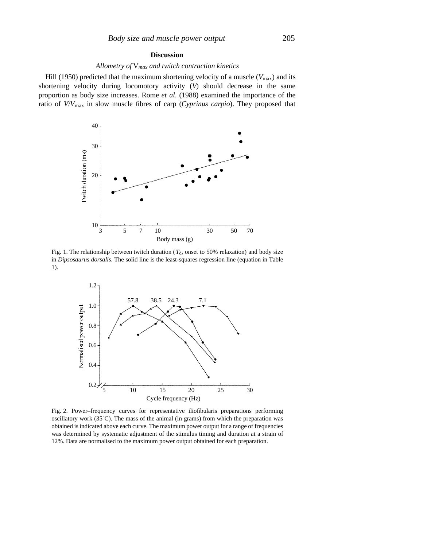### **Discussion**

# *Allometry of* V*max and twitch contraction kinetics*

Hill (1950) predicted that the maximum shortening velocity of a muscle ( $V_{\text{max}}$ ) and its shortening velocity during locomotory activity (*V*) should decrease in the same proportion as body size increases. Rome *et al*. (1988) examined the importance of the ratio of *V*/*V*max in slow muscle fibres of carp (*Cyprinus carpio*). They proposed that



Fig. 1. The relationship between twitch duration ( $T<sub>d</sub>$ , onset to 50% relaxation) and body size in *Dipsosaurus dorsalis*. The solid line is the least-squares regression line (equation in Table 1).



Fig. 2. Power–frequency curves for representative iliofibularis preparations performing oscillatory work  $(35^{\circ}C)$ . The mass of the animal (in grams) from which the preparation was obtained is indicated above each curve. The maximum power output for a range of frequencies was determined by systematic adjustment of the stimulus timing and duration at a strain of 12%. Data are normalised to the maximum power output obtained for each preparation.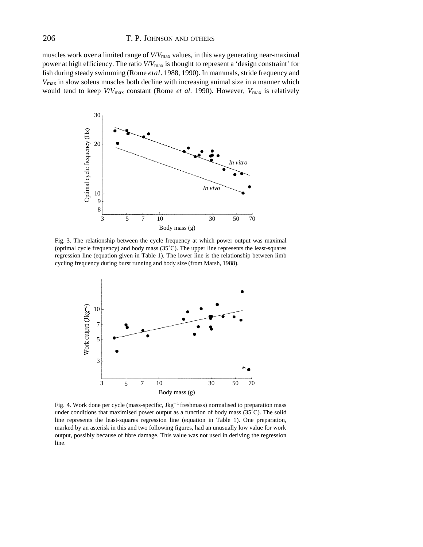## 206 T. P. JOHNSON AND OTHERS

muscles work over a limited range of *V*/*V*max values, in this way generating near-maximal power at high efficiency. The ratio *V*/*V*max is thought to represent a 'design constraint' for fish during steady swimming (Rome *etal*. 1988, 1990). In mammals, stride frequency and *V*max in slow soleus muscles both decline with increasing animal size in a manner which would tend to keep *V*/*V*max constant (Rome *et al*. 1990). However, *V*max is relatively



Fig. 3. The relationship between the cycle frequency at which power output was maximal (optimal cycle frequency) and body mass (35˚C). The upper line represents the least-squares regression line (equation given in Table 1). The lower line is the relationship between limb cycling frequency during burst running and body size (from Marsh, 1988).



Fig. 4. Work done per cycle (mass-specific,  $Jkg^{-1}$  freshmass) normalised to preparation mass under conditions that maximised power output as a function of body mass (35˚C). The solid line represents the least-squares regression line (equation in Table 1). One preparation, marked by an asterisk in this and two following figures, had an unusually low value for work output, possibly because of fibre damage. This value was not used in deriving the regression line.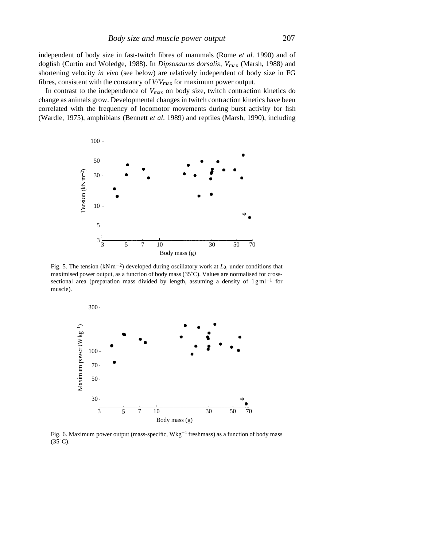independent of body size in fast-twitch fibres of mammals (Rome *et al.* 1990) and of dogfish (Curtin and Woledge, 1988). In *Dipsosaurus dorsalis*, *V*max (Marsh, 1988) and shortening velocity *in vivo* (see below) are relatively independent of body size in FG fibres, consistent with the constancy of *V*/*V*max for maximum power output.

In contrast to the independence of *V*max on body size, twitch contraction kinetics do change as animals grow. Developmental changes in twitch contraction kinetics have been correlated with the frequency of locomotor movements during burst activity for fish (Wardle, 1975), amphibians (Bennett *et al*. 1989) and reptiles (Marsh, 1990), including



Fig. 5. The tension  $(kNm^{-2})$  developed during oscillatory work at  $L_0$ , under conditions that maximised power output, as a function of body mass (35˚C). Values are normalised for crosssectional area (preparation mass divided by length, assuming a density of  $1\text{ g} \text{ ml}^{-1}$  for muscle).



Fig. 6. Maximum power output (mass-specific,  $Wkg^{-1}$  freshmass) as a function of body mass  $(35^{\circ}C).$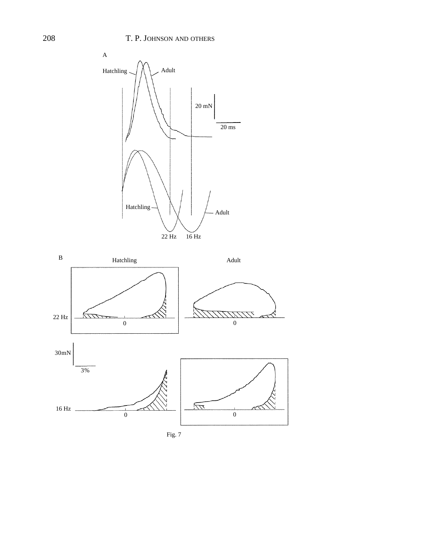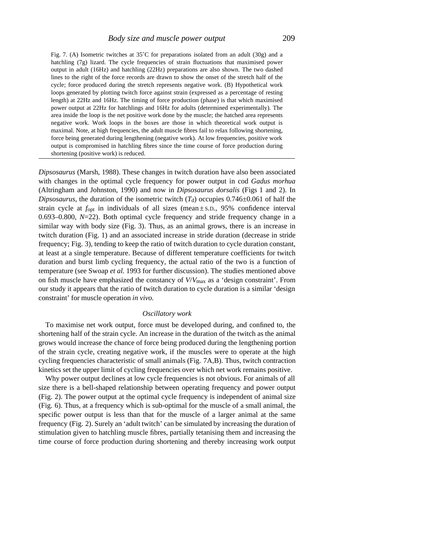Fig. 7. (A) Isometric twitches at 35˚C for preparations isolated from an adult (30g) and a hatchling (7g) lizard. The cycle frequencies of strain fluctuations that maximised power output in adult (16Hz) and hatchling (22Hz) preparations are also shown. The two dashed lines to the right of the force records are drawn to show the onset of the stretch half of the cycle; force produced during the stretch represents negative work. (B) Hypothetical work loops generated by plotting twitch force against strain (expressed as a percentage of resting length) at 22Hz and 16Hz. The timing of force production (phase) is that which maximised power output at 22Hz for hatchlings and 16Hz for adults (determined experimentally). The area inside the loop is the net positive work done by the muscle; the hatched area represents negative work. Work loops in the boxes are those in which theoretical work output is maximal. Note, at high frequencies, the adult muscle fibres fail to relax following shortening, force being generated during lengthening (negative work). At low frequencies, positive work output is compromised in hatchling fibres since the time course of force production during shortening (positive work) is reduced.

*Dipsosaurus* (Marsh, 1988). These changes in twitch duration have also been associated with changes in the optimal cycle frequency for power output in cod *Gadus morhua* (Altringham and Johnston, 1990) and now in *Dipsosaurus dorsalis* (Figs 1 and 2). In *Dipsosaurus*, the duration of the isometric twitch  $(T<sub>d</sub>)$  occupies 0.746±0.061 of half the strain cycle at  $f_{opt}$  in individuals of all sizes (mean $\pm$  s.p., 95% confidence interval 0.693–0.800, *N*=22). Both optimal cycle frequency and stride frequency change in a similar way with body size (Fig. 3). Thus, as an animal grows, there is an increase in twitch duration (Fig. 1) and an associated increase in stride duration (decrease in stride frequency; Fig. 3), tending to keep the ratio of twitch duration to cycle duration constant, at least at a single temperature. Because of different temperature coefficients for twitch duration and burst limb cycling frequency, the actual ratio of the two is a function of temperature (see Swoap *et al.* 1993 for further discussion). The studies mentioned above on fish muscle have emphasized the constancy of *V*/*V*max as a 'design constraint'. From our study it appears that the ratio of twitch duration to cycle duration is a similar 'design constraint' for muscle operation *in vivo*.

#### *Oscillatory work*

To maximise net work output, force must be developed during, and confined to, the shortening half of the strain cycle. An increase in the duration of the twitch as the animal grows would increase the chance of force being produced during the lengthening portion of the strain cycle, creating negative work, if the muscles were to operate at the high cycling frequencies characteristic of small animals (Fig. 7A,B). Thus, twitch contraction kinetics set the upper limit of cycling frequencies over which net work remains positive.

Why power output declines at low cycle frequencies is not obvious. For animals of all size there is a bell-shaped relationship between operating frequency and power output (Fig. 2). The power output at the optimal cycle frequency is independent of animal size (Fig. 6). Thus, at a frequency which is sub-optimal for the muscle of a small animal, the specific power output is less than that for the muscle of a larger animal at the same frequency (Fig. 2). Surely an 'adult twitch' can be simulated by increasing the duration of stimulation given to hatchling muscle fibres, partially tetanising them and increasing the time course of force production during shortening and thereby increasing work output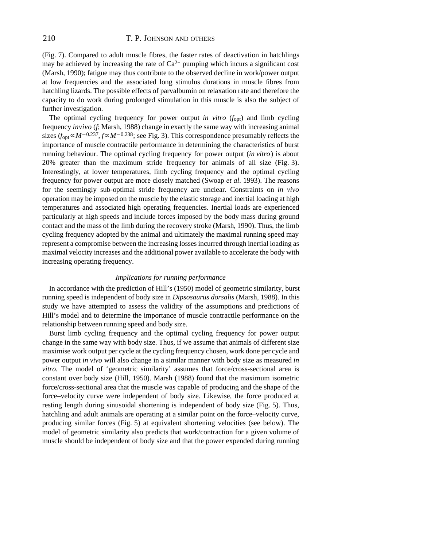(Fig. 7). Compared to adult muscle fibres, the faster rates of deactivation in hatchlings may be achieved by increasing the rate of  $Ca^{2+}$  pumping which incurs a significant cost (Marsh, 1990); fatigue may thus contribute to the observed decline in work/power output at low frequencies and the associated long stimulus durations in muscle fibres from hatchling lizards. The possible effects of parvalbumin on relaxation rate and therefore the capacity to do work during prolonged stimulation in this muscle is also the subject of further investigation.

The optimal cycling frequency for power output *in vitro* (*f*opt) and limb cycling frequency *invivo* (*f*; Marsh, 1988) change in exactly the same way with increasing animal sizes  $(f_{opt} \propto M^{-0.237}, f \propto M^{-0.238}$ ; see Fig. 3). This correspondence presumably reflects the importance of muscle contractile performance in determining the characteristics of burst running behaviour. The optimal cycling frequency for power output (*in vitro*) is about 20% greater than the maximum stride frequency for animals of all size (Fig. 3). Interestingly, at lower temperatures, limb cycling frequency and the optimal cycling frequency for power output are more closely matched (Swoap *et al*. 1993). The reasons for the seemingly sub-optimal stride frequency are unclear. Constraints on *in vivo* operation may be imposed on the muscle by the elastic storage and inertial loading at high temperatures and associated high operating frequencies. Inertial loads are experienced particularly at high speeds and include forces imposed by the body mass during ground contact and the mass of the limb during the recovery stroke (Marsh, 1990). Thus, the limb cycling frequency adopted by the animal and ultimately the maximal running speed may represent a compromise between the increasing losses incurred through inertial loading as maximal velocity increases and the additional power available to accelerate the body with increasing operating frequency.

## *Implications for running performance*

In accordance with the prediction of Hill's (1950) model of geometric similarity, burst running speed is independent of body size in *Dipsosaurus dorsalis* (Marsh, 1988). In this study we have attempted to assess the validity of the assumptions and predictions of Hill's model and to determine the importance of muscle contractile performance on the relationship between running speed and body size.

Burst limb cycling frequency and the optimal cycling frequency for power output change in the same way with body size. Thus, if we assume that animals of different size maximise work output per cycle at the cycling frequency chosen, work done per cycle and power output *in vivo* will also change in a similar manner with body size as measured *in vitro*. The model of 'geometric similarity' assumes that force/cross-sectional area is constant over body size (Hill, 1950). Marsh (1988) found that the maximum isometric force/cross-sectional area that the muscle was capable of producing and the shape of the force–velocity curve were independent of body size. Likewise, the force produced at resting length during sinusoidal shortening is independent of body size (Fig. 5). Thus, hatchling and adult animals are operating at a similar point on the force–velocity curve, producing similar forces (Fig. 5) at equivalent shortening velocities (see below). The model of geometric similarity also predicts that work/contraction for a given volume of muscle should be independent of body size and that the power expended during running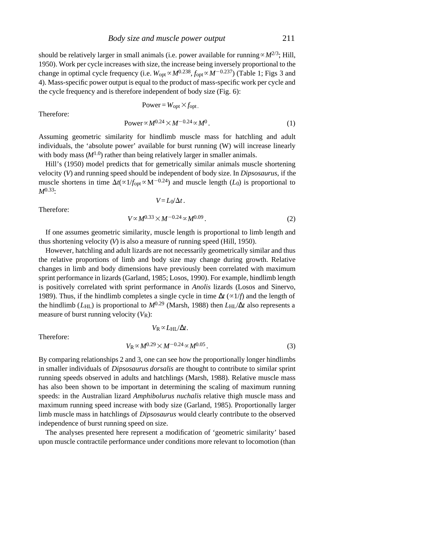should be relatively larger in small animals (i.e. power available for running  $\alpha M^{2/3}$ ; Hill, 1950). Work per cycle increases with size, the increase being inversely proportional to the change in optimal cycle frequency (i.e.  $W_{opt} \propto M^{0.238}$ ,  $f_{opt} \propto M^{-0.237}$ ) (Table 1; Figs 3 and 4). Mass-specific power output is equal to the product of mass-specific work per cycle and the cycle frequency and is therefore independent of body size (Fig. 6):

$$
Power = W_{opt} \times f_{opt}.
$$
  
Power  $\propto M^{0.24} \times M^{-0.24} \propto M^{0}$ . (1)

Therefore:

Assuming geometric similarity for hindlimb muscle mass for hatching and adult individuals, the 'absolute power' available for burst running (W) will increase linearly with body mass (
$$
M^{1.0}
$$
) rather than being relatively larger in smaller animals.

Hill's (1950) model predicts that for gemetrically similar animals muscle shortening velocity (*V*) and running speed should be independent of body size. In *Dipsosaurus*, if the muscle shortens in time  $\Delta t$ ( $\propto$ 1/*f*<sub>opt</sub> $\propto$ M<sup>-0.24</sup>) and muscle length (*L*<sub>0</sub>) is proportional to *M*0.33:

 $V = L_0/\Delta t$ .

Therefore:

$$
V \propto M^{0.33} \times M^{-0.24} \propto M^{0.09} \,. \tag{2}
$$

If one assumes geometric similarity, muscle length is proportional to limb length and thus shortening velocity (*V*) is also a measure of running speed (Hill, 1950).

However, hatchling and adult lizards are not necessarily geometrically similar and thus the relative proportions of limb and body size may change during growth. Relative changes in limb and body dimensions have previously been correlated with maximum sprint performance in lizards (Garland, 1985; Losos, 1990). For example, hindlimb length is positively correlated with sprint performance in *Anolis* lizards (Losos and Sinervo, 1989). Thus, if the hindlimb completes a single cycle in time  $t \left(\frac{\alpha 1}{f}\right)$  and the length of the hindlimb ( $L_{\text{HL}}$ ) is proportional to  $M^{0.29}$  (Marsh, 1988) then  $L_{\text{HL}}/t$  also represents a measure of burst running velocity (*V*R):

Therefore:

$$
V_{\rm R} \propto L_{\rm HL}/t.
$$

$$
V_{\rm R} \propto M^{0.29} \times M^{-0.24} \propto M^{0.05} \,. \tag{3}
$$

By comparing relationships 2 and 3, one can see how the proportionally longer hindlimbs in smaller individuals of *Dipsosaurus dorsalis* are thought to contribute to similar sprint running speeds observed in adults and hatchlings (Marsh, 1988). Relative muscle mass has also been shown to be important in determining the scaling of maximum running speeds: in the Australian lizard *Amphibolurus nuchalis* relative thigh muscle mass and maximum running speed increase with body size (Garland, 1985). Proportionally larger limb muscle mass in hatchlings of *Dipsosaurus* would clearly contribute to the observed independence of burst running speed on size.

The analyses presented here represent a modification of 'geometric similarity' based upon muscle contractile performance under conditions more relevant to locomotion (than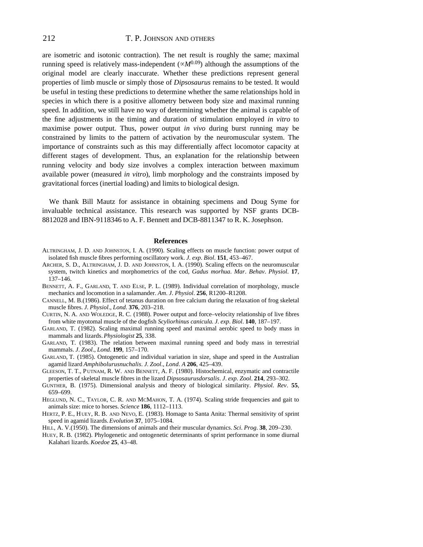are isometric and isotonic contraction). The net result is roughly the same; maximal running speed is relatively mass-independent ( $\propto M^{0.09}$ ) although the assumptions of the original model are clearly inaccurate. Whether these predictions represent general properties of limb muscle or simply those of *Dipsosaurus* remains to be tested. It would be useful in testing these predictions to determine whether the same relationships hold in species in which there is a positive allometry between body size and maximal running speed. In addition, we still have no way of determining whether the animal is capable of the fine adjustments in the timing and duration of stimulation employed *in vitro* to maximise power output. Thus, power output *in vivo* during burst running may be constrained by limits to the pattern of activation by the neuromuscular system. The importance of constraints such as this may differentially affect locomotor capacity at different stages of development. Thus, an explanation for the relationship between running velocity and body size involves a complex interaction between maximum available power (measured *in vitro*), limb morphology and the constraints imposed by gravitational forces (inertial loading) and limits to biological design.

We thank Bill Mautz for assistance in obtaining specimens and Doug Syme for invaluable technical assistance. This research was supported by NSF grants DCB-8812028 and IBN-9118346 to A. F. Bennett and DCB-8811347 to R. K. Josephson.

#### **References**

- ALTRINGHAM, J. D. AND JOHNSTON, I. A. (1990). Scaling effects on muscle function: power output of isolated fish muscle fibres performing oscillatory work. *J*. *exp*. *Biol*. **151**, 453–467.
- ARCHER, S. D., ALTRINGHAM, J. D. AND JOHNSTON, I. A. (1990). Scaling effects on the neuromuscular system, twitch kinetics and morphometrics of the cod, *Gadus morhua*. *Mar*. *Behav*. *Physiol*. **17**, 137–146.
- BENNETT, A. F., GARLAND, T. AND ELSE, P. L. (1989). Individual correlation of morphology, muscle mechanics and locomotion in a salamander. *Am*. *J*. *Physiol*. **256**, R1200–R1208.
- CANNELL, M. B.(1986). Effect of tetanus duration on free calcium during the relaxation of frog skeletal muscle fibres. *J*. *Physiol*., *Lond*. **376**, 203–218.
- CURTIN, N. A. AND WOLEDGE, R. C. (1988). Power output and force–velocity relationship of live fibres from white myotomal muscle of the dogfish *Scyliorhinus canicula*. *J*. *exp*. *Biol*. **140**, 187–197.
- GARLAND, T. (1982). Scaling maximal running speed and maximal aerobic speed to body mass in mammals and lizards. *Physiologist* **25**, 338.
- GARLAND, T. (1983). The relation between maximal running speed and body mass in terrestrial mammals. *J*. *Zool*., *Lond*. **199**, 157–170.
- GARLAND, T. (1985). Ontogenetic and individual variation in size, shape and speed in the Australian agamid lizard *Amphibolurusnuchalis*. *J*. *Zool*., *Lond*. *A* **206**, 425–439.
- GLEESON, T. T., P UTNAM, R. W. AND BENNETT, A. F. (1980). Histochemical, enzymatic and contractile properties of skeletal muscle fibres in the lizard *Dipsosaurusdorsalis*. *J*. *exp*. *Zool*. **214**, 293–302.
- GUNTHER, B. (1975). Dimensional analysis and theory of biological similarity. *Physiol*. *Rev*. **55**, 659–699.
- HEGLUND, N. C., TAYLOR, C. R. AND MCMAHON, T. A. (1974). Scaling stride frequencies and gait to animals size: mice to horses. *Science* **186**, 1112–1113.
- HERTZ, P. E., HUEY, R. B. AND NEVO, E. (1983). Homage to Santa Anita: Thermal sensitivity of sprint speed in agamid lizards. *Evolution* **37**, 1075–1084.
- HILL, A. V.(1950). The dimensions of animals and their muscular dynamics. *Sci*. *Prog*. **38**, 209–230.
- HUEY, R. B. (1982). Phylogenetic and ontogenetic determinants of sprint performance in some diurnal Kalahari lizards. *Koedoe* **25**, 43–48.